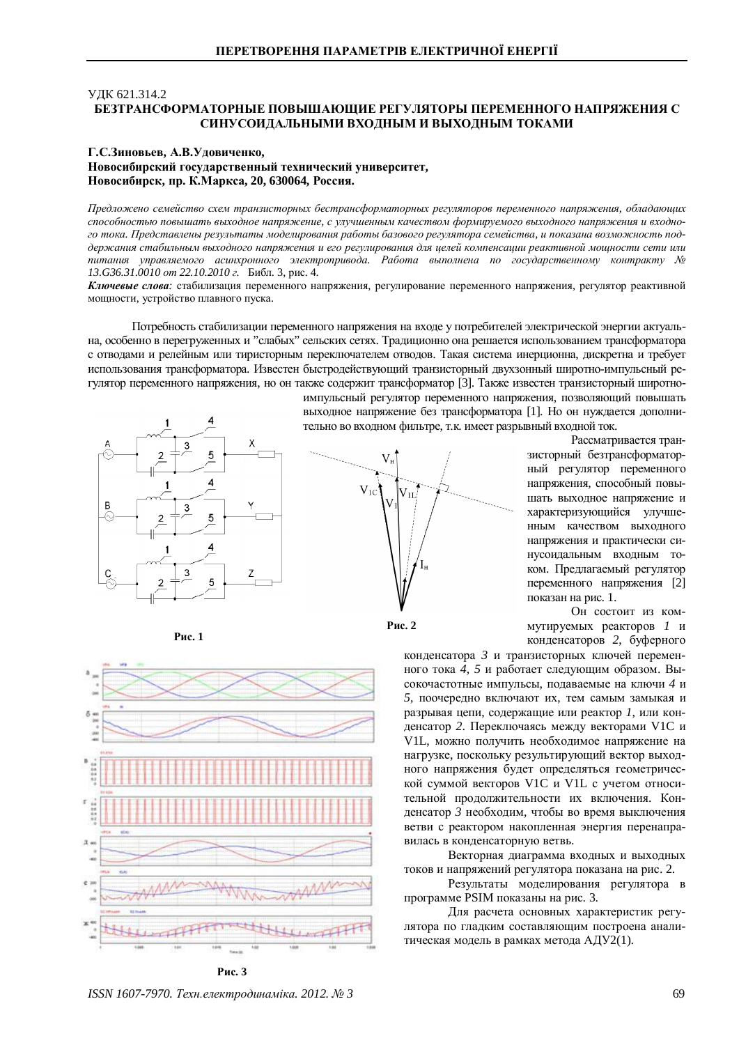## V<sub>J</sub>IK 621.314.2 БЕЗТРАНСФОРМАТОРНЫЕ ПОВЫШАЮШИЕ РЕГУЛЯТОРЫ ПЕРЕМЕННОГО НАПРЯЖЕНИЯ С СИНУСОИЛАЛЬНЫМИ ВХОЛНЫМ И ВЫХОЛНЫМ ТОКАМИ

## **ȽɋɁɢɧɨɜɶɟɜ, Ⱥȼɍɞɨɜɢɱɟɧɤɨ,** Новосибирский государственный технический университет,  $H$ овосибирск, пр. К.Маркса, 20, 630064, Россия.

Предложено семейство схем транзисторных бестрансформаторных регуляторов переменного напряжения, обладающих способностью повышать выходное напряжение, с улучшенным качеством формируемого выходного напряжения и входного тока. Представлены результаты моделирования работы базового регулятора семейства, и показана возможность поддержания стабильным выходного напряжения и его регулирования для целей компенсации реактивной мощности сети или питания управляемого асинхронного электропривода. Работа выполнена по государственному контракту № *13.G36.31.0010 от 22.10.2010 г.* Библ. 3, рис. 4.

Ключевые слова: стабилизация переменного напряжения, регулирование переменного напряжения, регулятор реактивной мощности, устройство плавного пуска.

Потребность стабилизации переменного напряжения на входе у потребителей электрической энергии актуальна, особенно в перегруженных и "слабых" сельских сетях. Традиционно она решается использованием трансформатора с отводами и релейным или тиристорным переключателем отводов. Такая система инерционна, дискретна и требует использования трансформатора. Известен быстродействующий транзисторный двухзонный широтно-импульсный регулятор переменного напряжения, но он также содержит трансформатор [3]. Также известен транзисторный широтно-



импульсный регулятор переменного напряжения, позволяющий повышать выходное напряжение без трансформатора [1]. Но он нуждается дополнительно во входном фильтре, т.к. имеет разрывный входной ток.



**Рис. 2** 

Рассматривается транзисторный безтрансформаторный регулятор переменного напряжения, способный повышать выходное напряжение и характеризующийся улучшенным качеством выходного напряжения и практически синусоидальным входным током. Предлагаемый регулятор переменного напряжения [2] показан на рис. 1.





Он состоит из коммутируемых реакторов 1 и конденсаторов 2, буферного

конденсатора 3 и транзисторных ключей переменного тока 4, 5 и работает следующим образом. Высокочастотные импульсы, подаваемые на ключи 4 и 5, поочередно включают их, тем самым замыкая и разрывая цепи, содержащие или реактор 1, или конденсатор 2. Переключаясь между векторами V1C и V1L, можно получить необходимое напряжение на нагрузке, поскольку результирующий вектор выходного напряжения будет определяться геометрической суммой векторов V1С и V1L с учетом относительной продолжительности их включения. Конденсатор 3 необходим, чтобы во время выключения ветви с реактором накопленная энергия перенаправилась в конденсаторную ветвь.

Векторная диаграмма входных и выходных токов и напряжений регулятора показана на рис. 2.

Результаты моделирования регулятора в программе PSIM показаны на рис. 3.

Для расчета основных характеристик регулятора по гладким составляющим построена аналитическая модель в рамках метода АДУ2(1).

*ISSN 1607-7970. Техн.електродинаміка. 2012. № 3* 69